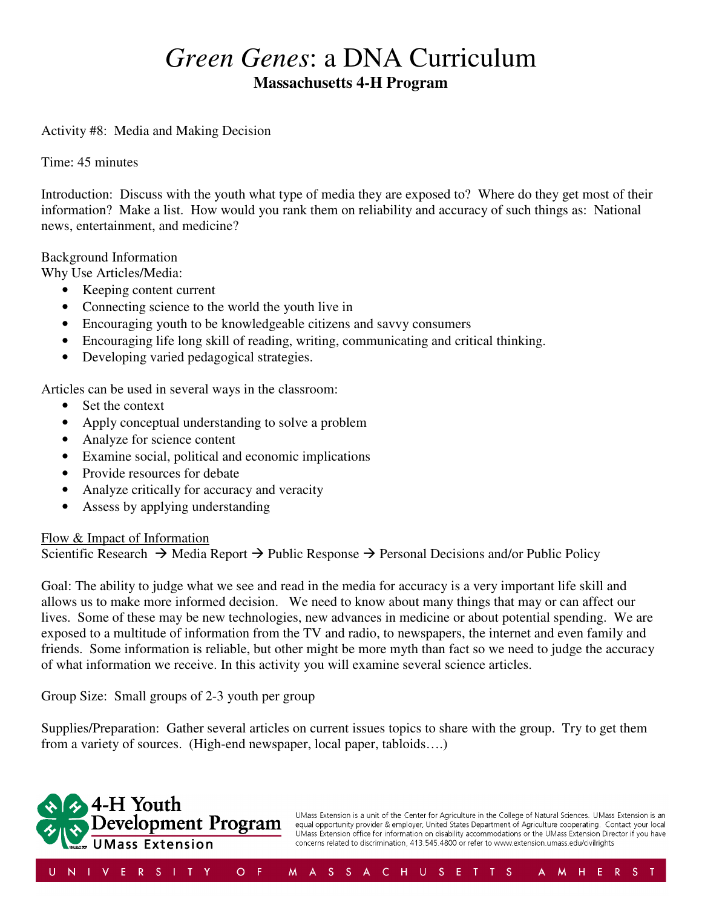# *Green Genes*: a DNA Curriculum **Massachusetts 4-H Program**

Activity #8: Media and Making Decision

Time: 45 minutes

Introduction: Discuss with the youth what type of media they are exposed to? Where do they get most of their information? Make a list. How would you rank them on reliability and accuracy of such things as: National news, entertainment, and medicine?

Background Information

Why Use Articles/Media:

- Keeping content current
- Connecting science to the world the youth live in
- Encouraging youth to be knowledgeable citizens and savvy consumers
- Encouraging life long skill of reading, writing, communicating and critical thinking.
- Developing varied pedagogical strategies.

Articles can be used in several ways in the classroom:

- Set the context
- Apply conceptual understanding to solve a problem
- Analyze for science content
- Examine social, political and economic implications
- Provide resources for debate
- Analyze critically for accuracy and veracity
- Assess by applying understanding

#### Flow & Impact of Information

Scientific Research  $\rightarrow$  Media Report  $\rightarrow$  Public Response  $\rightarrow$  Personal Decisions and/or Public Policy

Goal: The ability to judge what we see and read in the media for accuracy is a very important life skill and allows us to make more informed decision. We need to know about many things that may or can affect our lives. Some of these may be new technologies, new advances in medicine or about potential spending. We are exposed to a multitude of information from the TV and radio, to newspapers, the internet and even family and friends. Some information is reliable, but other might be more myth than fact so we need to judge the accuracy of what information we receive. In this activity you will examine several science articles.

Group Size: Small groups of 2-3 youth per group

Supplies/Preparation: Gather several articles on current issues topics to share with the group. Try to get them from a variety of sources. (High-end newspaper, local paper, tabloids….)



UMass Extension is a unit of the Center for Agriculture in the College of Natural Sciences. UMass Extension is an equal opportunity provider & employer, United States Department of Agriculture cooperating. Contact your local UMass Extension office for information on disability accommodations or the UMass Extension Director if you have concerns related to discrimination, 413.545.4800 or refer to www.extension.umass.edu/civilrights